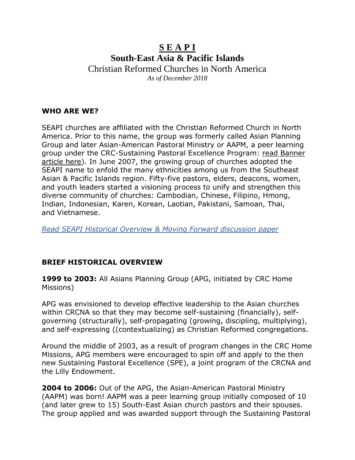# **S E A P I South-East Asia & Pacific Islands** Christian Reformed Churches in North America

*As of December 2018*

### **WHO ARE WE?**

SEAPI churches are affiliated with the Christian Reformed Church in North America. Prior to this name, the group was formerly called Asian Planning Group and later Asian-American Pastoral Ministry or AAPM, a peer learning group under the CRC-Sustaining Pastoral Excellence Program: read Banner article here). In June 2007, the growing group of churches adopted the SEAPI name to enfold the many ethnicities among us from the Southeast Asian & Pacific Islands region. Fifty-five pastors, elders, deacons, women, and youth leaders started a visioning process to unify and strengthen this diverse community of churches: Cambodian, Chinese, Filipino, Hmong, Indian, Indonesian, Karen, Korean, Laotian, Pakistani, Samoan, Thai, and Vietnamese.

*Read SEAPI Historical Overview & Moving Forward discussion paper*

### **BRIEF HISTORICAL OVERVIEW**

**1999 to 2003:** All Asians Planning Group (APG, initiated by CRC Home Missions)

APG was envisioned to develop effective leadership to the Asian churches within CRCNA so that they may become self-sustaining (financially), selfgoverning (structurally), self-propagating (growing, discipling, multiplying), and self-expressing ((contextualizing) as Christian Reformed congregations.

Around the middle of 2003, as a result of program changes in the CRC Home Missions, APG members were encouraged to spin off and apply to the then new Sustaining Pastoral Excellence (SPE), a joint program of the CRCNA and the Lilly Endowment.

**2004 to 2006:** Out of the APG, the Asian-American Pastoral Ministry (AAPM) was born! AAPM was a peer learning group initially composed of 10 (and later grew to 15) South-East Asian church pastors and their spouses. The group applied and was awarded support through the Sustaining Pastoral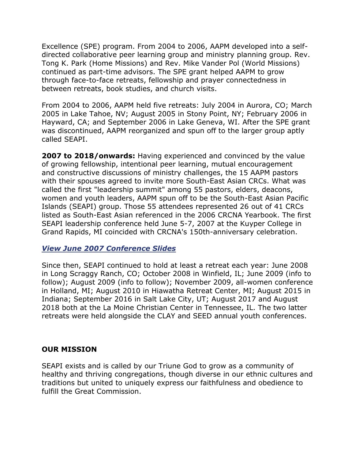Excellence (SPE) program. From 2004 to 2006, AAPM developed into a selfdirected collaborative peer learning group and ministry planning group. Rev. Tong K. Park (Home Missions) and Rev. Mike Vander Pol (World Missions) continued as part-time advisors. The SPE grant helped AAPM to grow through face-to-face retreats, fellowship and prayer connectedness in between retreats, book studies, and church visits.

From 2004 to 2006, AAPM held five retreats: July 2004 in Aurora, CO; March 2005 in Lake Tahoe, NV; August 2005 in Stony Point, NY; February 2006 in Hayward, CA; and September 2006 in Lake Geneva, WI. After the SPE grant was discontinued, AAPM reorganized and spun off to the larger group aptly called SEAPI.

**2007 to 2018/onwards:** Having experienced and convinced by the value of growing fellowship, intentional peer learning, mutual encouragement and constructive discussions of ministry challenges, the 15 AAPM pastors with their spouses agreed to invite more South-East Asian CRCs. What was called the first "leadership summit" among 55 pastors, elders, deacons, women and youth leaders, AAPM spun off to be the South-East Asian Pacific Islands (SEAPI) group. Those 55 attendees represented 26 out of 41 CRCs listed as South-East Asian referenced in the 2006 CRCNA Yearbook. The first SEAPI leadership conference held June 5-7, 2007 at the Kuyper College in Grand Rapids, MI coincided with CRCNA's 150th-anniversary celebration.

#### *View June 2007 Conference Slides*

Since then, SEAPI continued to hold at least a retreat each year: June 2008 in Long Scraggy Ranch, CO; October 2008 in Winfield, IL; June 2009 (info to follow); August 2009 (info to follow); November 2009, all-women conference in Holland, MI; August 2010 in Hiawatha Retreat Center, MI; August 2015 in Indiana; September 2016 in Salt Lake City, UT; August 2017 and August 2018 both at the La Moine Christian Center in Tennessee, IL. The two latter retreats were held alongside the CLAY and SEED annual youth conferences.

#### **OUR MISSION**

SEAPI exists and is called by our Triune God to grow as a community of healthy and thriving congregations, though diverse in our ethnic cultures and traditions but united to uniquely express our faithfulness and obedience to fulfill the Great Commission.